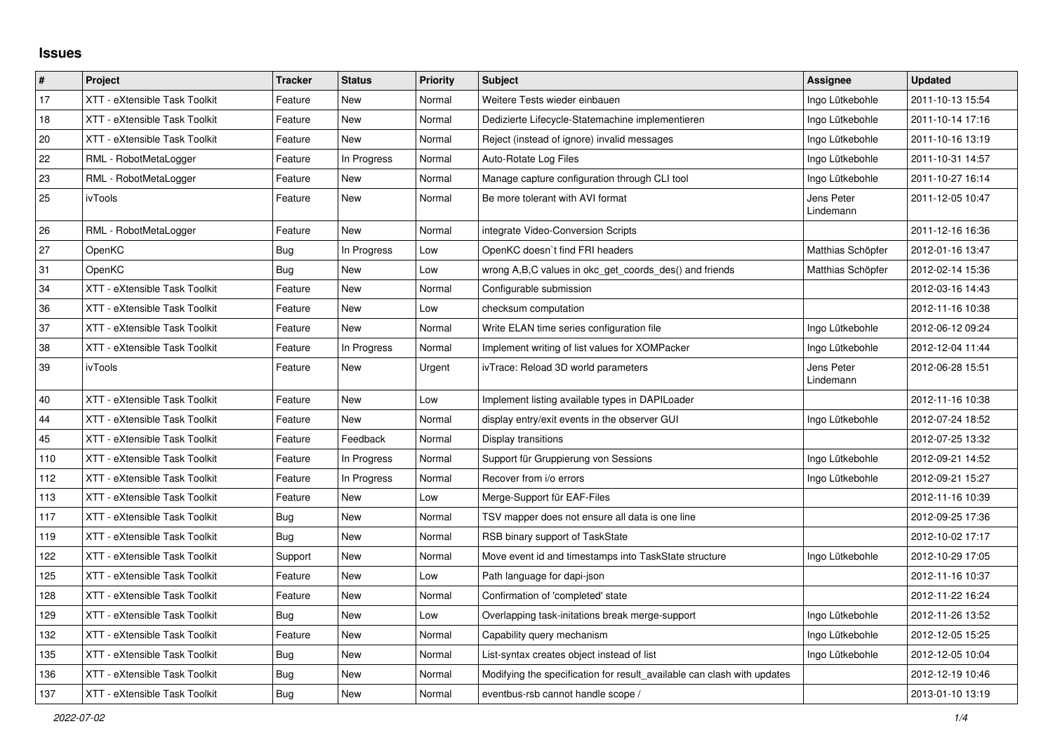## **Issues**

| #   | Project                       | <b>Tracker</b> | <b>Status</b> | <b>Priority</b> | <b>Subject</b>                                                          | Assignee                | <b>Updated</b>   |
|-----|-------------------------------|----------------|---------------|-----------------|-------------------------------------------------------------------------|-------------------------|------------------|
| 17  | XTT - eXtensible Task Toolkit | Feature        | <b>New</b>    | Normal          | Weitere Tests wieder einbauen                                           | Ingo Lütkebohle         | 2011-10-13 15:54 |
| 18  | XTT - eXtensible Task Toolkit | Feature        | New           | Normal          | Dedizierte Lifecycle-Statemachine implementieren                        | Ingo Lütkebohle         | 2011-10-14 17:16 |
| 20  | XTT - eXtensible Task Toolkit | Feature        | New           | Normal          | Reject (instead of ignore) invalid messages                             | Ingo Lütkebohle         | 2011-10-16 13:19 |
| 22  | RML - RobotMetaLogger         | Feature        | In Progress   | Normal          | Auto-Rotate Log Files                                                   | Ingo Lütkebohle         | 2011-10-31 14:57 |
| 23  | RML - RobotMetaLogger         | Feature        | New           | Normal          | Manage capture configuration through CLI tool                           | Ingo Lütkebohle         | 2011-10-27 16:14 |
| 25  | ivTools                       | Feature        | New           | Normal          | Be more tolerant with AVI format                                        | Jens Peter<br>Lindemann | 2011-12-05 10:47 |
| 26  | RML - RobotMetaLogger         | Feature        | <b>New</b>    | Normal          | integrate Video-Conversion Scripts                                      |                         | 2011-12-16 16:36 |
| 27  | OpenKC                        | Bug            | In Progress   | Low             | OpenKC doesn't find FRI headers                                         | Matthias Schöpfer       | 2012-01-16 13:47 |
| 31  | OpenKC                        | Bug            | New           | Low             | wrong A,B,C values in okc_get_coords_des() and friends                  | Matthias Schöpfer       | 2012-02-14 15:36 |
| 34  | XTT - eXtensible Task Toolkit | Feature        | <b>New</b>    | Normal          | Configurable submission                                                 |                         | 2012-03-16 14:43 |
| 36  | XTT - eXtensible Task Toolkit | Feature        | New           | Low             | checksum computation                                                    |                         | 2012-11-16 10:38 |
| 37  | XTT - eXtensible Task Toolkit | Feature        | <b>New</b>    | Normal          | Write ELAN time series configuration file                               | Ingo Lütkebohle         | 2012-06-12 09:24 |
| 38  | XTT - eXtensible Task Toolkit | Feature        | In Progress   | Normal          | Implement writing of list values for XOMPacker                          | Ingo Lütkebohle         | 2012-12-04 11:44 |
| 39  | ivTools                       | Feature        | New           | Urgent          | ivTrace: Reload 3D world parameters                                     | Jens Peter<br>Lindemann | 2012-06-28 15:51 |
| 40  | XTT - eXtensible Task Toolkit | Feature        | New           | Low             | Implement listing available types in DAPILoader                         |                         | 2012-11-16 10:38 |
| 44  | XTT - eXtensible Task Toolkit | Feature        | New           | Normal          | display entry/exit events in the observer GUI                           | Ingo Lütkebohle         | 2012-07-24 18:52 |
| 45  | XTT - eXtensible Task Toolkit | Feature        | Feedback      | Normal          | Display transitions                                                     |                         | 2012-07-25 13:32 |
| 110 | XTT - eXtensible Task Toolkit | Feature        | In Progress   | Normal          | Support für Gruppierung von Sessions                                    | Ingo Lütkebohle         | 2012-09-21 14:52 |
| 112 | XTT - eXtensible Task Toolkit | Feature        | In Progress   | Normal          | Recover from i/o errors                                                 | Ingo Lütkebohle         | 2012-09-21 15:27 |
| 113 | XTT - eXtensible Task Toolkit | Feature        | New           | Low             | Merge-Support für EAF-Files                                             |                         | 2012-11-16 10:39 |
| 117 | XTT - eXtensible Task Toolkit | Bug            | <b>New</b>    | Normal          | TSV mapper does not ensure all data is one line                         |                         | 2012-09-25 17:36 |
| 119 | XTT - eXtensible Task Toolkit | Bug            | New           | Normal          | RSB binary support of TaskState                                         |                         | 2012-10-02 17:17 |
| 122 | XTT - eXtensible Task Toolkit | Support        | <b>New</b>    | Normal          | Move event id and timestamps into TaskState structure                   | Ingo Lütkebohle         | 2012-10-29 17:05 |
| 125 | XTT - eXtensible Task Toolkit | Feature        | <b>New</b>    | Low             | Path language for dapi-json                                             |                         | 2012-11-16 10:37 |
| 128 | XTT - eXtensible Task Toolkit | Feature        | New           | Normal          | Confirmation of 'completed' state                                       |                         | 2012-11-22 16:24 |
| 129 | XTT - eXtensible Task Toolkit | Bug            | <b>New</b>    | Low             | Overlapping task-initations break merge-support                         | Ingo Lütkebohle         | 2012-11-26 13:52 |
| 132 | XTT - eXtensible Task Toolkit | Feature        | New           | Normal          | Capability query mechanism                                              | Ingo Lütkebohle         | 2012-12-05 15:25 |
| 135 | XTT - eXtensible Task Toolkit | Bug            | New           | Normal          | List-syntax creates object instead of list                              | Ingo Lütkebohle         | 2012-12-05 10:04 |
| 136 | XTT - eXtensible Task Toolkit | <b>Bug</b>     | New           | Normal          | Modifying the specification for result available can clash with updates |                         | 2012-12-19 10:46 |
| 137 | XTT - eXtensible Task Toolkit | <b>Bug</b>     | <b>New</b>    | Normal          | eventbus-rsb cannot handle scope /                                      |                         | 2013-01-10 13:19 |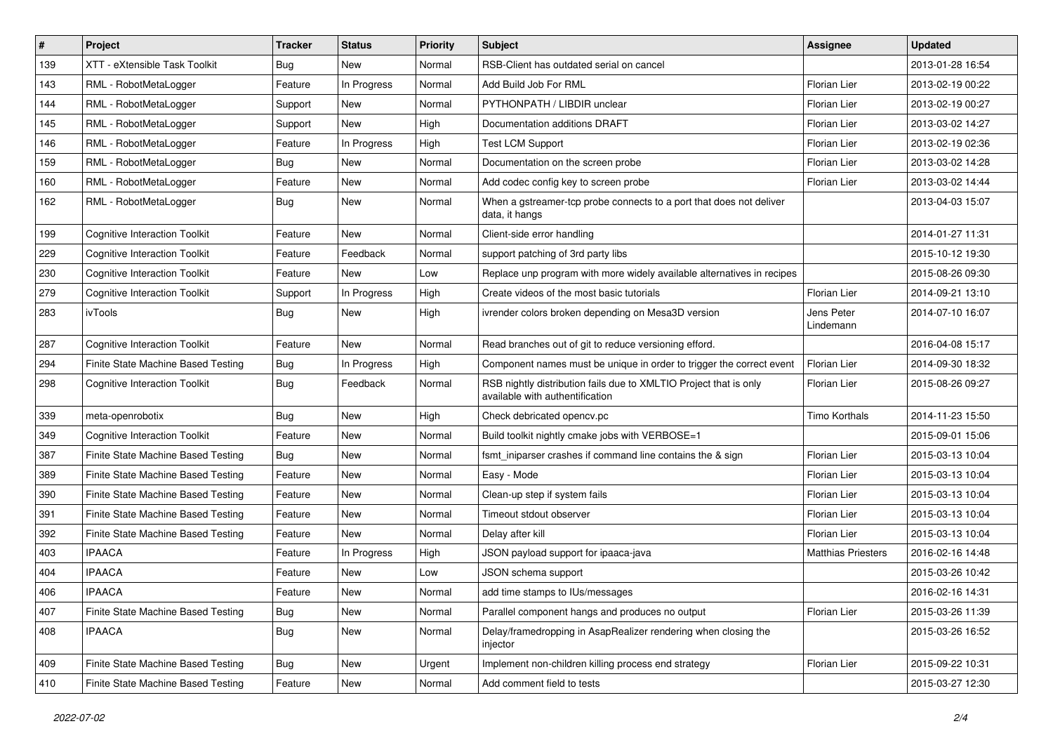| #   | Project                              | <b>Tracker</b> | <b>Status</b> | <b>Priority</b> | Subject                                                                                              | <b>Assignee</b>           | <b>Updated</b>   |
|-----|--------------------------------------|----------------|---------------|-----------------|------------------------------------------------------------------------------------------------------|---------------------------|------------------|
| 139 | XTT - eXtensible Task Toolkit        | Bug            | New           | Normal          | RSB-Client has outdated serial on cancel                                                             |                           | 2013-01-28 16:54 |
| 143 | RML - RobotMetaLogger                | Feature        | In Progress   | Normal          | Add Build Job For RML                                                                                | <b>Florian Lier</b>       | 2013-02-19 00:22 |
| 144 | RML - RobotMetaLogger                | Support        | New           | Normal          | PYTHONPATH / LIBDIR unclear                                                                          | Florian Lier              | 2013-02-19 00:27 |
| 145 | RML - RobotMetaLogger                | Support        | <b>New</b>    | High            | Documentation additions DRAFT                                                                        | Florian Lier              | 2013-03-02 14:27 |
| 146 | RML - RobotMetaLogger                | Feature        | In Progress   | High            | <b>Test LCM Support</b>                                                                              | Florian Lier              | 2013-02-19 02:36 |
| 159 | RML - RobotMetaLogger                | <b>Bug</b>     | New           | Normal          | Documentation on the screen probe                                                                    | Florian Lier              | 2013-03-02 14:28 |
| 160 | RML - RobotMetaLogger                | Feature        | <b>New</b>    | Normal          | Add codec config key to screen probe                                                                 | Florian Lier              | 2013-03-02 14:44 |
| 162 | RML - RobotMetaLogger                | Bug            | <b>New</b>    | Normal          | When a gstreamer-tcp probe connects to a port that does not deliver<br>data, it hangs                |                           | 2013-04-03 15:07 |
| 199 | <b>Cognitive Interaction Toolkit</b> | Feature        | <b>New</b>    | Normal          | Client-side error handling                                                                           |                           | 2014-01-27 11:31 |
| 229 | <b>Cognitive Interaction Toolkit</b> | Feature        | Feedback      | Normal          | support patching of 3rd party libs                                                                   |                           | 2015-10-12 19:30 |
| 230 | <b>Cognitive Interaction Toolkit</b> | Feature        | New           | Low             | Replace unp program with more widely available alternatives in recipes                               |                           | 2015-08-26 09:30 |
| 279 | <b>Cognitive Interaction Toolkit</b> | Support        | In Progress   | High            | Create videos of the most basic tutorials                                                            | Florian Lier              | 2014-09-21 13:10 |
| 283 | ivTools                              | <b>Bug</b>     | New           | High            | ivrender colors broken depending on Mesa3D version                                                   | Jens Peter<br>Lindemann   | 2014-07-10 16:07 |
| 287 | <b>Cognitive Interaction Toolkit</b> | Feature        | New           | Normal          | Read branches out of git to reduce versioning efford.                                                |                           | 2016-04-08 15:17 |
| 294 | Finite State Machine Based Testing   | Bug            | In Progress   | High            | Component names must be unique in order to trigger the correct event                                 | Florian Lier              | 2014-09-30 18:32 |
| 298 | <b>Cognitive Interaction Toolkit</b> | Bug            | Feedback      | Normal          | RSB nightly distribution fails due to XMLTIO Project that is only<br>available with authentification | Florian Lier              | 2015-08-26 09:27 |
| 339 | meta-openrobotix                     | <b>Bug</b>     | <b>New</b>    | High            | Check debricated opency.pc                                                                           | <b>Timo Korthals</b>      | 2014-11-23 15:50 |
| 349 | <b>Cognitive Interaction Toolkit</b> | Feature        | New           | Normal          | Build toolkit nightly cmake jobs with VERBOSE=1                                                      |                           | 2015-09-01 15:06 |
| 387 | Finite State Machine Based Testing   | Bug            | New           | Normal          | fsmt iniparser crashes if command line contains the & sign                                           | Florian Lier              | 2015-03-13 10:04 |
| 389 | Finite State Machine Based Testing   | Feature        | <b>New</b>    | Normal          | Easy - Mode                                                                                          | Florian Lier              | 2015-03-13 10:04 |
| 390 | Finite State Machine Based Testing   | Feature        | New           | Normal          | Clean-up step if system fails                                                                        | Florian Lier              | 2015-03-13 10:04 |
| 391 | Finite State Machine Based Testing   | Feature        | New           | Normal          | Timeout stdout observer                                                                              | Florian Lier              | 2015-03-13 10:04 |
| 392 | Finite State Machine Based Testing   | Feature        | New           | Normal          | Delay after kill                                                                                     | Florian Lier              | 2015-03-13 10:04 |
| 403 | <b>IPAACA</b>                        | Feature        | In Progress   | High            | JSON payload support for ipaaca-java                                                                 | <b>Matthias Priesters</b> | 2016-02-16 14:48 |
| 404 | <b>IPAACA</b>                        | Feature        | New           | Low             | JSON schema support                                                                                  |                           | 2015-03-26 10:42 |
| 406 | <b>IPAACA</b>                        | Feature        | New           | Normal          | add time stamps to IUs/messages                                                                      |                           | 2016-02-16 14:31 |
| 407 | Finite State Machine Based Testing   | Bug            | New           | Normal          | Parallel component hangs and produces no output                                                      | Florian Lier              | 2015-03-26 11:39 |
| 408 | <b>IPAACA</b>                        | Bug            | New           | Normal          | Delay/framedropping in AsapRealizer rendering when closing the<br>injector                           |                           | 2015-03-26 16:52 |
| 409 | Finite State Machine Based Testing   | Bug            | New           | Urgent          | Implement non-children killing process end strategy                                                  | Florian Lier              | 2015-09-22 10:31 |
| 410 | Finite State Machine Based Testing   | Feature        | New           | Normal          | Add comment field to tests                                                                           |                           | 2015-03-27 12:30 |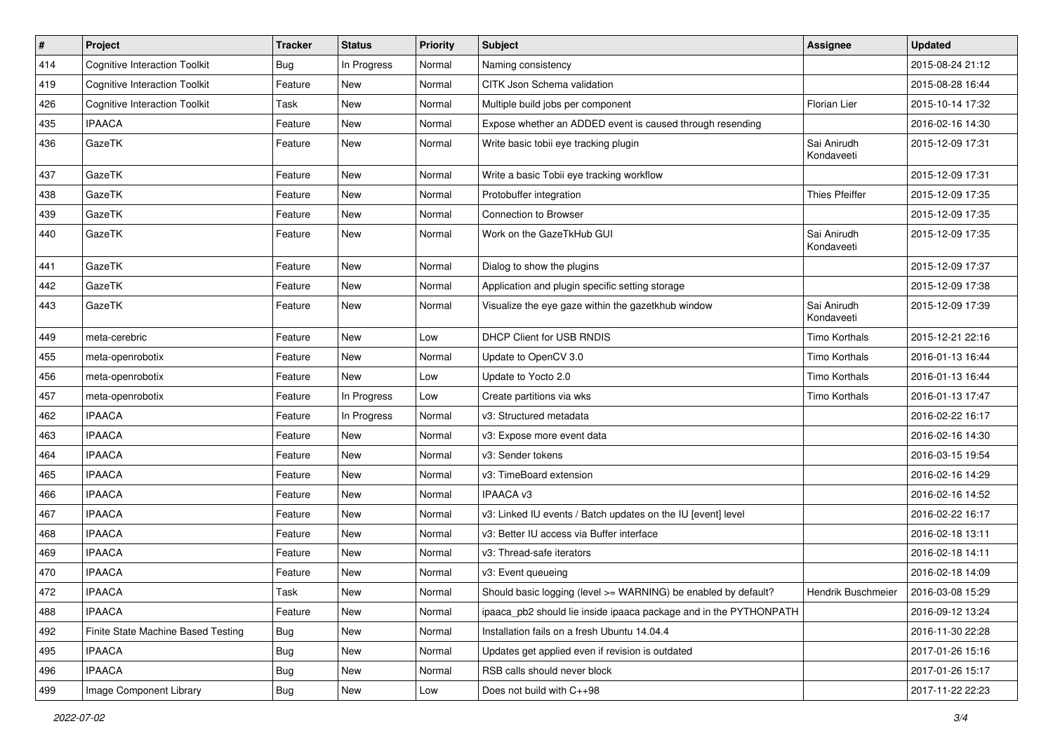| $\#$ | Project                              | <b>Tracker</b> | <b>Status</b> | <b>Priority</b> | Subject                                                           | Assignee                  | <b>Updated</b>   |
|------|--------------------------------------|----------------|---------------|-----------------|-------------------------------------------------------------------|---------------------------|------------------|
| 414  | <b>Cognitive Interaction Toolkit</b> | Bug            | In Progress   | Normal          | Naming consistency                                                |                           | 2015-08-24 21:12 |
| 419  | <b>Cognitive Interaction Toolkit</b> | Feature        | <b>New</b>    | Normal          | CITK Json Schema validation                                       |                           | 2015-08-28 16:44 |
| 426  | <b>Cognitive Interaction Toolkit</b> | Task           | New           | Normal          | Multiple build jobs per component                                 | <b>Florian Lier</b>       | 2015-10-14 17:32 |
| 435  | <b>IPAACA</b>                        | Feature        | <b>New</b>    | Normal          | Expose whether an ADDED event is caused through resending         |                           | 2016-02-16 14:30 |
| 436  | GazeTK                               | Feature        | New           | Normal          | Write basic tobii eye tracking plugin                             | Sai Anirudh<br>Kondaveeti | 2015-12-09 17:31 |
| 437  | GazeTK                               | Feature        | <b>New</b>    | Normal          | Write a basic Tobii eye tracking workflow                         |                           | 2015-12-09 17:31 |
| 438  | GazeTK                               | Feature        | New           | Normal          | Protobuffer integration                                           | <b>Thies Pfeiffer</b>     | 2015-12-09 17:35 |
| 439  | GazeTK                               | Feature        | New           | Normal          | <b>Connection to Browser</b>                                      |                           | 2015-12-09 17:35 |
| 440  | GazeTK                               | Feature        | <b>New</b>    | Normal          | Work on the GazeTkHub GUI                                         | Sai Anirudh<br>Kondaveeti | 2015-12-09 17:35 |
| 441  | GazeTK                               | Feature        | <b>New</b>    | Normal          | Dialog to show the plugins                                        |                           | 2015-12-09 17:37 |
| 442  | GazeTK                               | Feature        | <b>New</b>    | Normal          | Application and plugin specific setting storage                   |                           | 2015-12-09 17:38 |
| 443  | GazeTK                               | Feature        | New           | Normal          | Visualize the eye gaze within the gazetkhub window                | Sai Anirudh<br>Kondaveeti | 2015-12-09 17:39 |
| 449  | meta-cerebric                        | Feature        | <b>New</b>    | Low             | DHCP Client for USB RNDIS                                         | <b>Timo Korthals</b>      | 2015-12-21 22:16 |
| 455  | meta-openrobotix                     | Feature        | New           | Normal          | Update to OpenCV 3.0                                              | Timo Korthals             | 2016-01-13 16:44 |
| 456  | meta-openrobotix                     | Feature        | <b>New</b>    | Low             | Update to Yocto 2.0                                               | Timo Korthals             | 2016-01-13 16:44 |
| 457  | meta-openrobotix                     | Feature        | In Progress   | Low             | Create partitions via wks                                         | Timo Korthals             | 2016-01-13 17:47 |
| 462  | <b>IPAACA</b>                        | Feature        | In Progress   | Normal          | v3: Structured metadata                                           |                           | 2016-02-22 16:17 |
| 463  | <b>IPAACA</b>                        | Feature        | <b>New</b>    | Normal          | v3: Expose more event data                                        |                           | 2016-02-16 14:30 |
| 464  | <b>IPAACA</b>                        | Feature        | New           | Normal          | v3: Sender tokens                                                 |                           | 2016-03-15 19:54 |
| 465  | <b>IPAACA</b>                        | Feature        | <b>New</b>    | Normal          | v3: TimeBoard extension                                           |                           | 2016-02-16 14:29 |
| 466  | <b>IPAACA</b>                        | Feature        | New           | Normal          | IPAACA v3                                                         |                           | 2016-02-16 14:52 |
| 467  | <b>IPAACA</b>                        | Feature        | New           | Normal          | v3: Linked IU events / Batch updates on the IU [event] level      |                           | 2016-02-22 16:17 |
| 468  | <b>IPAACA</b>                        | Feature        | New           | Normal          | v3: Better IU access via Buffer interface                         |                           | 2016-02-18 13:11 |
| 469  | <b>IPAACA</b>                        | Feature        | New           | Normal          | v3: Thread-safe iterators                                         |                           | 2016-02-18 14:11 |
| 470  | <b>IPAACA</b>                        | Feature        | New           | Normal          | v3: Event queueing                                                |                           | 2016-02-18 14:09 |
| 472  | <b>IPAACA</b>                        | Task           | New           | Normal          | Should basic logging (level >= WARNING) be enabled by default?    | Hendrik Buschmeier        | 2016-03-08 15:29 |
| 488  | <b>IPAACA</b>                        | Feature        | New           | Normal          | ipaaca pb2 should lie inside ipaaca package and in the PYTHONPATH |                           | 2016-09-12 13:24 |
| 492  | Finite State Machine Based Testing   | Bug            | New           | Normal          | Installation fails on a fresh Ubuntu 14.04.4                      |                           | 2016-11-30 22:28 |
| 495  | <b>IPAACA</b>                        | Bug            | New           | Normal          | Updates get applied even if revision is outdated                  |                           | 2017-01-26 15:16 |
| 496  | <b>IPAACA</b>                        | Bug            | New           | Normal          | RSB calls should never block                                      |                           | 2017-01-26 15:17 |
| 499  | Image Component Library              | <b>Bug</b>     | New           | Low             | Does not build with C++98                                         |                           | 2017-11-22 22:23 |